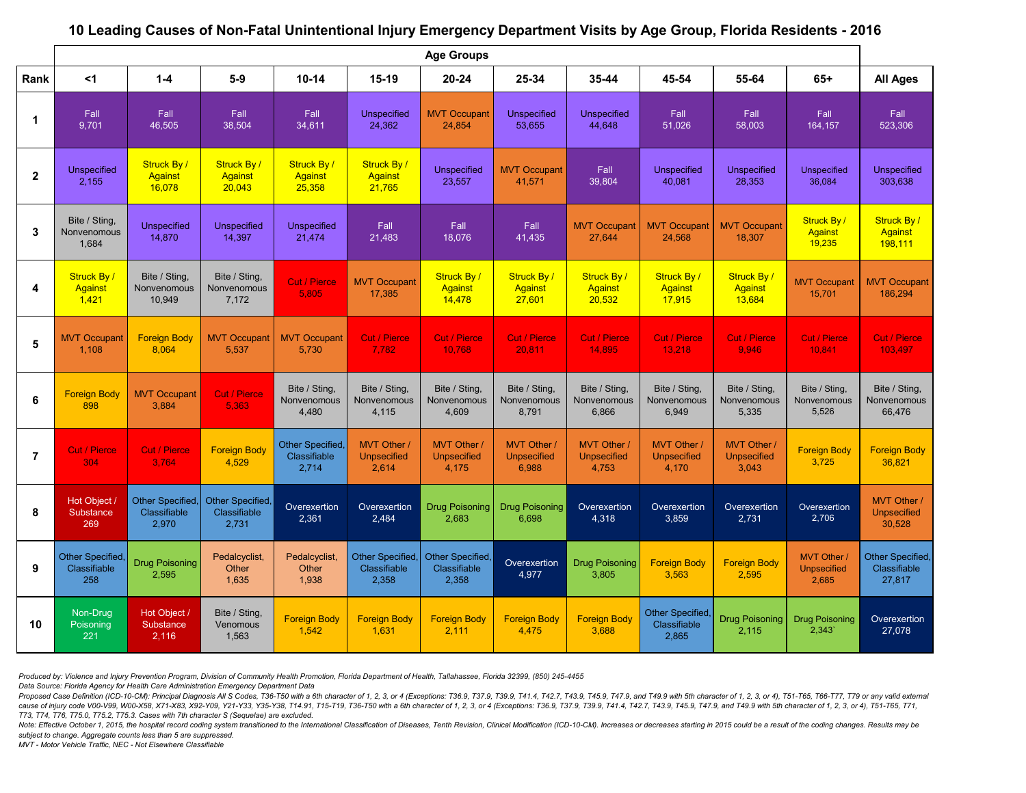|                | <b>Age Groups</b>                       |                                           |                                           |                                               |                                           |                                           |                                                  |                                               |                                               |                                            |                                            |                                                |
|----------------|-----------------------------------------|-------------------------------------------|-------------------------------------------|-----------------------------------------------|-------------------------------------------|-------------------------------------------|--------------------------------------------------|-----------------------------------------------|-----------------------------------------------|--------------------------------------------|--------------------------------------------|------------------------------------------------|
| Rank           | $<$ 1                                   | $1-4$                                     | $5-9$                                     | $10 - 14$                                     | $15-19$                                   | $20 - 24$                                 | 25-34                                            | $35 - 44$                                     | 45-54                                         | 55-64                                      | $65+$                                      | <b>All Ages</b>                                |
|                | Fall<br>9,701                           | Fall<br>46,505                            | Fall<br>38,504                            | Fall<br>34,611                                | Unspecified<br>24,362                     | <b>MVT Occupant</b><br>24,854             | <b>Unspecified</b><br>53,655                     | <b>Unspecified</b><br>44,648                  | Fall<br>51,026                                | Fall<br>58,003                             | Fall<br>164,157                            | Fall<br>523,306                                |
| $\overline{2}$ | <b>Unspecified</b><br>2,155             | Struck By/<br>Against<br>16,078           | <b>Struck By/</b><br>Against<br>20,043    | <b>Struck By/</b><br><b>Against</b><br>25,358 | Struck By/<br><b>Against</b><br>21,765    | Unspecified<br>23,557                     | <b>MVT Occupant</b><br>41,571                    | Fall<br>39,804                                | <b>Unspecified</b><br>40,081                  | <b>Unspecified</b><br>28,353               | <b>Unspecified</b><br>36,084               | <b>Unspecified</b><br>303,638                  |
| 3              | Bite / Sting,<br>Nonvenomous<br>1,684   | <b>Unspecified</b><br>14,870              | <b>Unspecified</b><br>14,397              | <b>Unspecified</b><br>21,474                  | Fall<br>21,483                            | Fall<br>18,076                            | Fall<br>41,435                                   | <b>MVT Occupant</b><br>27,644                 | <b>MVT Occupant</b><br>24,568                 | <b>MVT Occupant</b><br>18,307              | <b>Struck By/</b><br>Against<br>19,235     | <b>Struck By/</b><br><b>Against</b><br>198,111 |
| 4              | Struck By/<br>Against<br>1,421          | Bite / Sting,<br>Nonvenomous<br>10,949    | Bite / Sting,<br>Nonvenomous<br>7,172     | <b>Cut / Pierce</b><br>5,805                  | <b>MVT Occupant</b><br>17,385             | Struck By/<br><b>Against</b><br>14,478    | <b>Struck By/</b><br><b>Against</b><br>27,601    | <b>Struck By/</b><br><b>Against</b><br>20,532 | <b>Struck By/</b><br><b>Against</b><br>17,915 | Struck By/<br><b>Against</b><br>13,684     | <b>MVT Occupan</b><br>15,701               | <b>MVT Occupant</b><br>186,294                 |
| 5              | <b>MVT Occupant</b><br>1,108            | <b>Foreign Body</b><br>8,064              | <b>MVT Occupant</b><br>5,537              | <b>MVT Occupant</b><br>5,730                  | <b>Cut / Pierce</b><br>7,782              | <b>Cut / Pierce</b><br>10,768             | <b>Cut / Pierce</b><br>20,811                    | <b>Cut / Pierce</b><br>14,895                 | Cut / Pierce<br>13,218                        | Cut / Pierce<br>9,946                      | <b>Cut / Pierce</b><br>10,841              | <b>Cut / Pierce</b><br>103,497                 |
| 6              | <b>Foreign Body</b><br>898              | <b>MVT Occupant</b><br>3,884              | <b>Cut / Pierce</b><br>5,363              | Bite / Sting,<br>Nonvenomous<br>4,480         | Bite / Sting,<br>Nonvenomous<br>4,115     | Bite / Sting<br>Nonvenomous<br>4,609      | Bite / Sting,<br>Nonvenomous<br>8,791            | Bite / Sting,<br>Nonvenomous<br>6,866         | Bite / Sting,<br>Nonvenomous<br>6,949         | Bite / Sting,<br>Nonvenomous<br>5,335      | Bite / Sting,<br>Nonvenomous<br>5,526      | Bite / Sting,<br>Nonvenomous<br>66,476         |
|                | <b>Cut / Pierce</b><br>304              | <b>Cut / Pierce</b><br>3,764              | <b>Foreign Body</b><br>4,529              | Other Specified,<br>Classifiable<br>2,714     | MVT Other<br><b>Unpsecified</b><br>2,614  | MVT Other<br><b>Unpsecified</b><br>4,175  | <b>MVT Other/</b><br><b>Unpsecified</b><br>6,988 | MVT Other<br><b>Unpsecified</b><br>4,753      | MVT Other<br><b>Unpsecified</b><br>4,170      | MVT Other /<br><b>Unpsecified</b><br>3,043 | <b>Foreign Body</b><br>3,725               | <b>Foreign Body</b><br>36,821                  |
| 8              | Hot Object /<br>Substance<br>269        | Other Specified,<br>Classifiable<br>2,970 | Other Specified,<br>Classifiable<br>2,731 | Overexertion<br>2,361                         | Overexertion<br>2,484                     | Drug Poisoning<br>2,683                   | <b>Drug Poisoning</b><br>6,698                   | Overexertion<br>4,318                         | <b>Overexertion</b><br>3,859                  | Overexertion<br>2,731                      | Overexertion<br>2,706                      | MVT Other /<br><b>Unpsecified</b><br>30,528    |
| 9              | Other Specified,<br>Classifiable<br>258 | <b>Drug Poisoning</b><br>2,595            | Pedalcyclist,<br>Other<br>1,635           | Pedalcyclist,<br>Other<br>1,938               | Other Specified,<br>Classifiable<br>2,358 | Other Specified,<br>Classifiable<br>2,358 | <b>Overexertion</b><br>4,977                     | <b>Drug Poisoning</b><br>3,805                | <b>Foreign Body</b><br>3,563                  | <b>Foreign Body</b><br>2,595               | MVT Other /<br><b>Unpsecified</b><br>2,685 | Other Specified,<br>Classifiable<br>27,817     |
| 10             | Non-Drug<br>Poisoning<br>221            | Hot Object /<br>Substance<br>2,116        | Bite / Sting,<br>Venomous<br>1,563        | <b>Foreign Body</b><br>1,542                  | <b>Foreign Body</b><br>1,631              | <b>Foreign Body</b><br>2,111              | <b>Foreign Body</b><br>4,475                     | <b>Foreign Body</b><br>3,688                  | Other Specified,<br>Classifiable<br>2,865     | <b>Drug Poisoning</b><br>2,115             | <b>Drug Poisoning</b><br>2,343'            | Overexertion<br>27,078                         |

## **10 Leading Causes of Non-Fatal Unintentional Injury Emergency Department Visits by Age Group, Florida Residents - 2016**

*Produced by: Violence and Injury Prevention Program, Division of Community Health Promotion, Florida Department of Health, Tallahassee, Florida 32399, (850) 245-4455* 

*Data Source: Florida Agency for Health Care Administration Emergency Department Data* 

Proposed Case Definition (ICD-10-CM): Principal Diagnosis All S Codes, T36-T50 with a 6th character of 1, 2, 3, or 4 (Exceptions: T36.9, T37.9, T39.9, T41.4, T42.7, T43.9, T45.9, T47.9, and T49.9 with 5th character of 1, 2 cause of injury code V00-V99, W00-X58, X71-X83, X92-Y09, Y21-Y33, Y35-Y38, T14.91, T15-T19, T36-T50 with a 6th character of 1, 2, 3, or 4 (Exceptions: T36.9, T37.9, T39.9, T41.4, T42.7, T43.9, T45.9, T47.9, and T49.9 with *T73, T74, T76, T75.0, T75.2, T75.3. Cases with 7th character S (Sequelae) are excluded.* 

Note: Effective October 1, 2015, the hospital record coding system transitioned to the International Classification of Diseases, Tenth Revision, Clinical Modification (ICD-10-CM). Increases or decreases starting in 2015 co *subject to change. Aggregate counts less than 5 are suppressed.*

*MVT - Motor Vehicle Traffic, NEC - Not Elsewhere Classifiable*